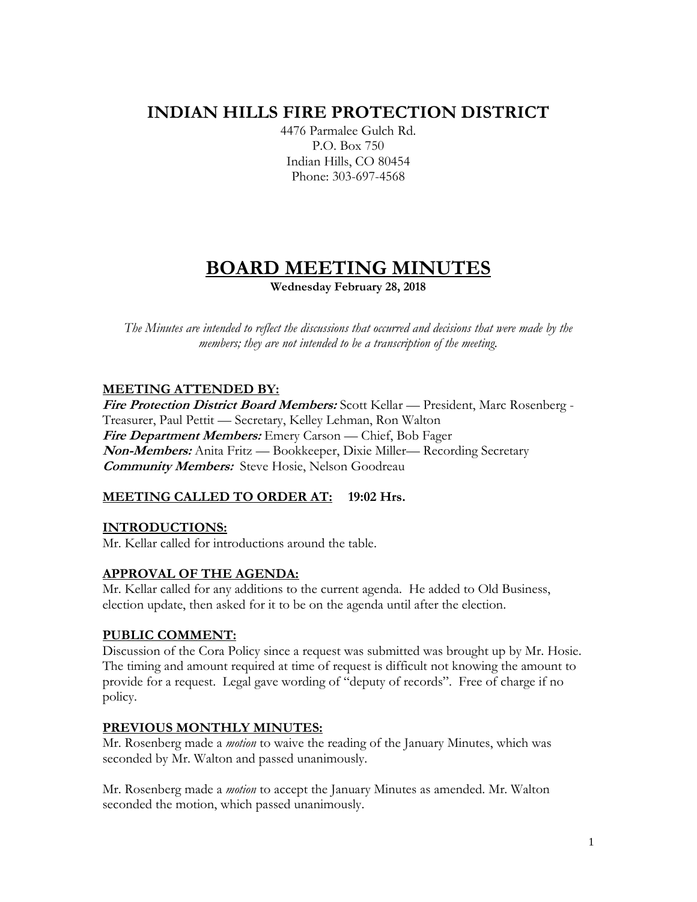# **INDIAN HILLS FIRE PROTECTION DISTRICT**

4476 Parmalee Gulch Rd. P.O. Box 750 Indian Hills, CO 80454 Phone: 303-697-4568

# **BOARD MEETING MINUTES**

**Wednesday February 28, 2018**

*The Minutes are intended to reflect the discussions that occurred and decisions that were made by the members; they are not intended to be a transcription of the meeting.*

# **MEETING ATTENDED BY:**

**Fire Protection District Board Members:** Scott Kellar — President, Marc Rosenberg - Treasurer, Paul Pettit — Secretary, Kelley Lehman, Ron Walton **Fire Department Members:** Emery Carson — Chief, Bob Fager **Non-Members:** Anita Fritz — Bookkeeper, Dixie Miller— Recording Secretary **Community Members:** Steve Hosie, Nelson Goodreau

# **MEETING CALLED TO ORDER AT: 19:02 Hrs.**

# **INTRODUCTIONS:**

Mr. Kellar called for introductions around the table.

# **APPROVAL OF THE AGENDA:**

Mr. Kellar called for any additions to the current agenda. He added to Old Business, election update, then asked for it to be on the agenda until after the election.

# **PUBLIC COMMENT:**

Discussion of the Cora Policy since a request was submitted was brought up by Mr. Hosie. The timing and amount required at time of request is difficult not knowing the amount to provide for a request. Legal gave wording of "deputy of records". Free of charge if no policy.

# **PREVIOUS MONTHLY MINUTES:**

Mr. Rosenberg made a *motion* to waive the reading of the January Minutes, which was seconded by Mr. Walton and passed unanimously.

Mr. Rosenberg made a *motion* to accept the January Minutes as amended. Mr. Walton seconded the motion, which passed unanimously.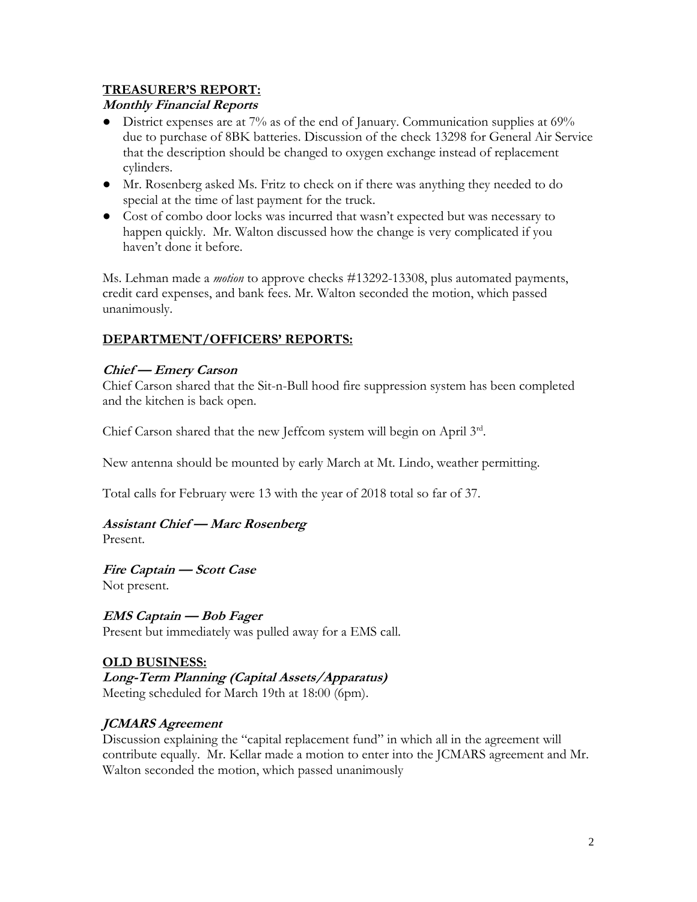### **TREASURER'S REPORT:**

### **Monthly Financial Reports**

- District expenses are at 7% as of the end of January. Communication supplies at 69% due to purchase of 8BK batteries. Discussion of the check 13298 for General Air Service that the description should be changed to oxygen exchange instead of replacement cylinders.
- Mr. Rosenberg asked Ms. Fritz to check on if there was anything they needed to do special at the time of last payment for the truck.
- Cost of combo door locks was incurred that wasn't expected but was necessary to happen quickly. Mr. Walton discussed how the change is very complicated if you haven't done it before.

Ms. Lehman made a *motion* to approve checks #13292-13308, plus automated payments, credit card expenses, and bank fees. Mr. Walton seconded the motion, which passed unanimously.

# **DEPARTMENT/OFFICERS' REPORTS:**

# **Chief — Emery Carson**

Chief Carson shared that the Sit-n-Bull hood fire suppression system has been completed and the kitchen is back open.

Chief Carson shared that the new Jeffcom system will begin on April 3rd.

New antenna should be mounted by early March at Mt. Lindo, weather permitting.

Total calls for February were 13 with the year of 2018 total so far of 37.

# **Assistant Chief — Marc Rosenberg**

Present.

**Fire Captain — Scott Case**  Not present.

# **EMS Captain — Bob Fager**

Present but immediately was pulled away for a EMS call.

# **OLD BUSINESS:**

**Long-Term Planning (Capital Assets/Apparatus)** Meeting scheduled for March 19th at 18:00 (6pm).

# **JCMARS Agreement**

Discussion explaining the "capital replacement fund" in which all in the agreement will contribute equally. Mr. Kellar made a motion to enter into the JCMARS agreement and Mr. Walton seconded the motion, which passed unanimously